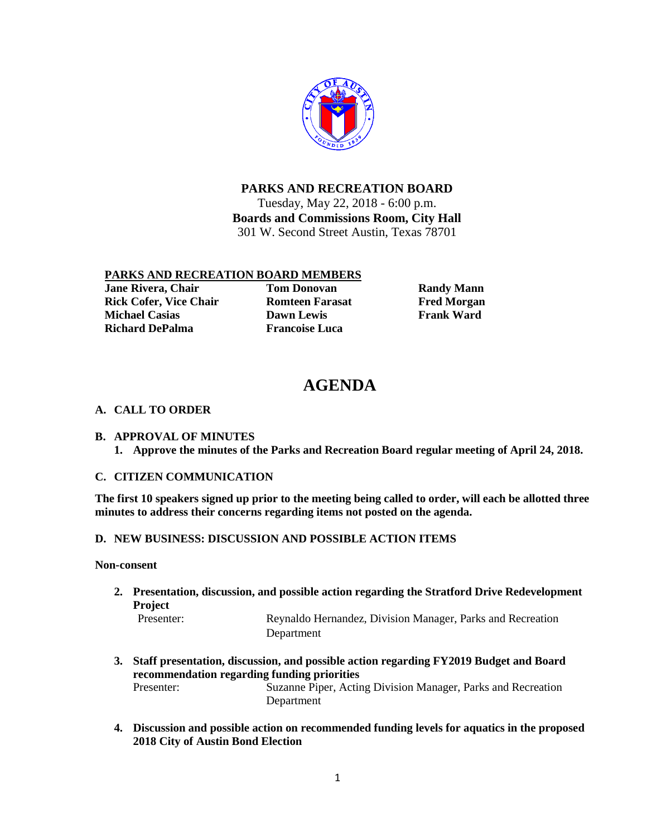

**PARKS AND RECREATION BOARD**

Tuesday, May 22, 2018 - 6:00 p.m. **Boards and Commissions Room, City Hall** 301 W. Second Street Austin, Texas 78701

## **PARKS AND RECREATION BOARD MEMBERS**

**Jane Rivera, Chair Tom Donovan Randy Mann Rick Cofer, Vice Chair Romteen Farasat Romer Farasat Fred Morgan**<br> **Richael Casias Richael Casias Richael Casias Richael Casias Richael Casias Richael Casias Richael Casias Richael Casias Richael Cas Michael Casias Richard DePalma Francoise Luca** 

# **AGENDA**

# **A. CALL TO ORDER**

**B. APPROVAL OF MINUTES 1. Approve the minutes of the Parks and Recreation Board regular meeting of April 24, 2018.**

## **C. CITIZEN COMMUNICATION**

**The first 10 speakers signed up prior to the meeting being called to order, will each be allotted three minutes to address their concerns regarding items not posted on the agenda.** 

## **D. NEW BUSINESS: DISCUSSION AND POSSIBLE ACTION ITEMS**

#### **Non-consent**

**2. Presentation, discussion, and possible action regarding the Stratford Drive Redevelopment Project**

Reynaldo Hernandez, Division Manager, Parks and Recreation Department

- **3. Staff presentation, discussion, and possible action regarding FY2019 Budget and Board recommendation regarding funding priorities** Presenter: Suzanne Piper, Acting Division Manager, Parks and Recreation Department
- **4. Discussion and possible action on recommended funding levels for aquatics in the proposed 2018 City of Austin Bond Election**